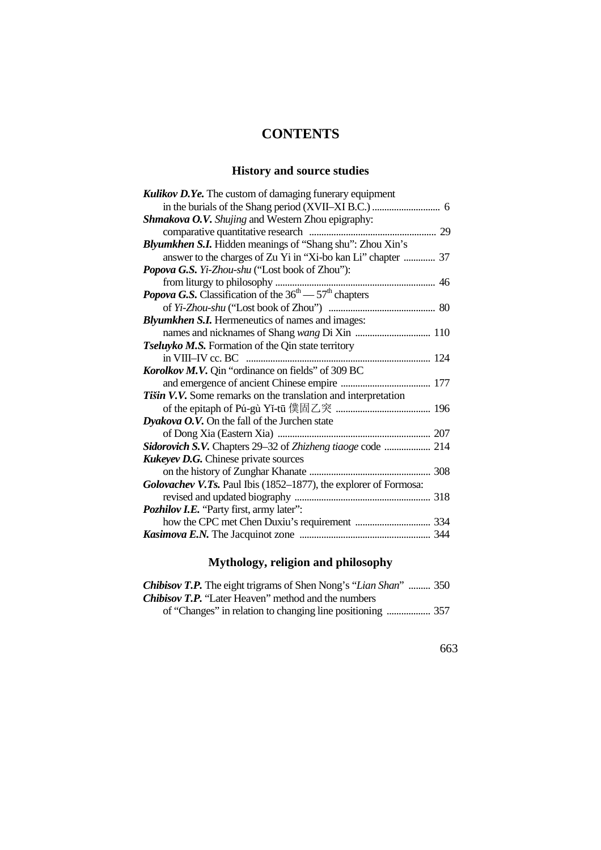## **CONTENTS**

### **History and source studies**

| <b>Kulikov D.Ye.</b> The custom of damaging funerary equipment   |
|------------------------------------------------------------------|
|                                                                  |
| Shmakova O.V. Shujing and Western Zhou epigraphy:                |
|                                                                  |
| Blyumkhen S.I. Hidden meanings of "Shang shu": Zhou Xin's        |
| answer to the charges of Zu Yi in "Xi-bo kan Li" chapter  37     |
| Popova G.S. Yi-Zhou-shu ("Lost book of Zhou"):                   |
|                                                                  |
|                                                                  |
|                                                                  |
| <b>Blyumkhen S.I.</b> Hermeneutics of names and images:          |
|                                                                  |
| Tseluyko M.S. Formation of the Qin state territory               |
|                                                                  |
| Korolkov M.V. Qin "ordinance on fields" of 309 BC                |
|                                                                  |
| Tišin V.V. Some remarks on the translation and interpretation    |
|                                                                  |
| <b>Dyakova O.V.</b> On the fall of the Jurchen state             |
|                                                                  |
| Sidorovich S.V. Chapters 29–32 of Zhizheng tiaoge code  214      |
| <b>Kukeyev D.G.</b> Chinese private sources                      |
|                                                                  |
| Golovachev V.Ts. Paul Ibis (1852–1877), the explorer of Formosa: |
|                                                                  |
| Pozhilov I.E. "Party first, army later":                         |
|                                                                  |
|                                                                  |

## **Mythology, religion and philosophy**

| <b>Chibisov T.P.</b> The eight trigrams of Shen Nong's "Lian Shan"  350 |  |
|-------------------------------------------------------------------------|--|
| <b>Chibisov T.P.</b> "Later Heaven" method and the numbers              |  |
|                                                                         |  |

663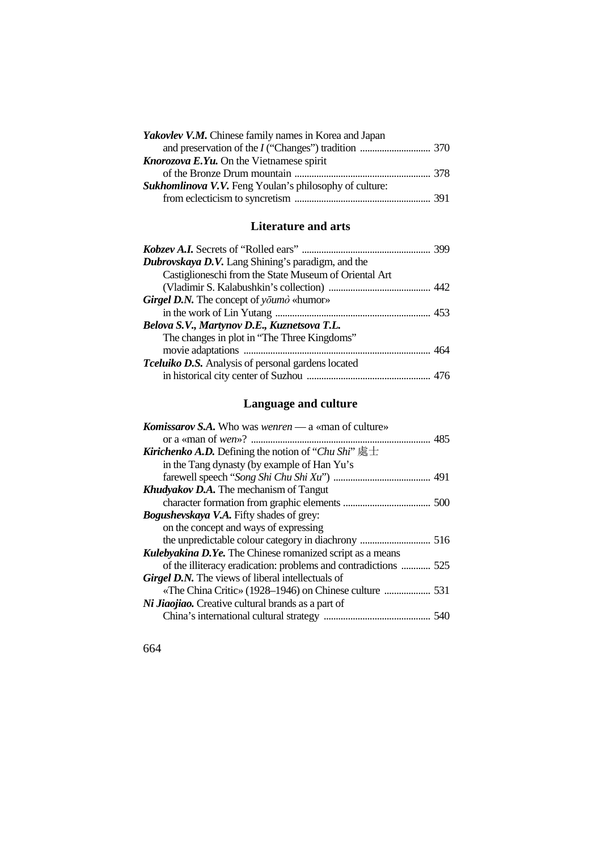| Yakovlev V.M. Chinese family names in Korea and Japan         |  |
|---------------------------------------------------------------|--|
|                                                               |  |
| <b>Knorozova E.Yu.</b> On the Vietnamese spirit               |  |
|                                                               |  |
| <b>Sukhomlinova V.V.</b> Feng Youlan's philosophy of culture: |  |
|                                                               |  |

#### **Literature and arts**

| Dubrovskaya D.V. Lang Shining's paradigm, and the         |  |
|-----------------------------------------------------------|--|
| Castiglioneschi from the State Museum of Oriental Art     |  |
|                                                           |  |
| <b>Girgel D.N.</b> The concept of youmor $\sim$           |  |
|                                                           |  |
| Belova S.V., Martynov D.E., Kuznetsova T.L.               |  |
| The changes in plot in "The Three Kingdoms"               |  |
|                                                           |  |
| <b>Tceluiko D.S.</b> Analysis of personal gardens located |  |
|                                                           |  |

### **Language and culture**

| <b>Komissarov S.A.</b> Who was wenren — a «man of culture»       |  |
|------------------------------------------------------------------|--|
|                                                                  |  |
| <b>Kirichenko A.D.</b> Defining the notion of "Chu Shi" 處士       |  |
| in the Tang dynasty (by example of Han Yu's                      |  |
|                                                                  |  |
| <b>Khudyakov D.A.</b> The mechanism of Tangut                    |  |
|                                                                  |  |
| <b>Bogushevskaya V.A.</b> Fifty shades of grey:                  |  |
| on the concept and ways of expressing                            |  |
|                                                                  |  |
| <b>Kulebyakina D.Ye.</b> The Chinese romanized script as a means |  |
| of the illiteracy eradication: problems and contradictions  525  |  |
| <b>Girgel D.N.</b> The views of liberal intellectuals of         |  |
|                                                                  |  |
| Ni Jiaojiao. Creative cultural brands as a part of               |  |
|                                                                  |  |

664